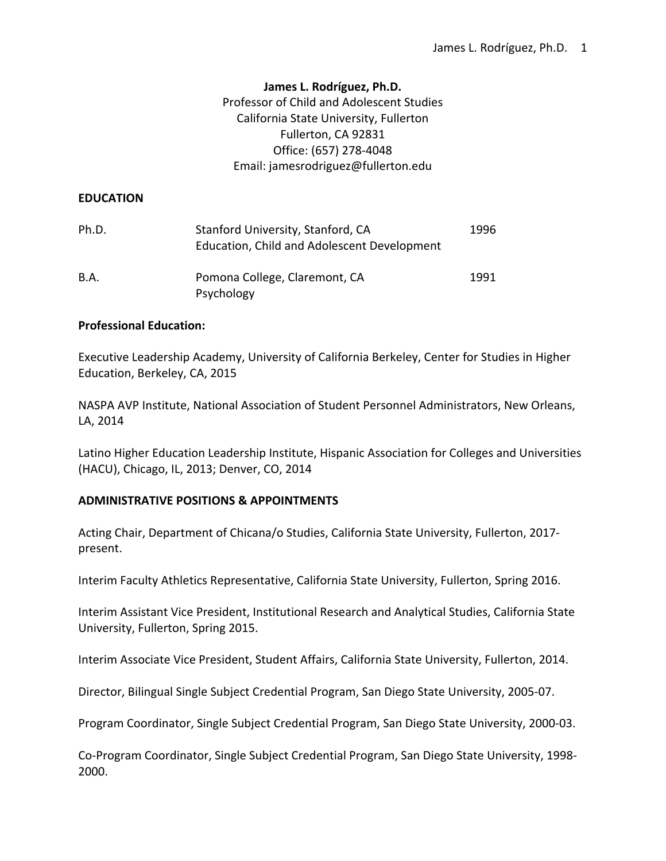#### James L. Rodríguez, Ph.D.

# Professor of Child and Adolescent Studies California State University, Fullerton Fullerton, CA 92831 Office: (657) 278-4048 Email: jamesrodriguez@fullerton.edu

#### **EDUCATION**

| Ph.D.       | Stanford University, Stanford, CA           | 1996 |
|-------------|---------------------------------------------|------|
|             | Education, Child and Adolescent Development |      |
| <b>B.A.</b> | Pomona College, Claremont, CA               | 1991 |
|             | Psychology                                  |      |

#### **Professional Education:**

Executive Leadership Academy, University of California Berkeley, Center for Studies in Higher Education, Berkeley, CA, 2015

NASPA AVP Institute, National Association of Student Personnel Administrators, New Orleans, LA, 2014

Latino Higher Education Leadership Institute, Hispanic Association for Colleges and Universities (HACU), Chicago, IL, 2013; Denver, CO, 2014

#### **ADMINISTRATIVE POSITIONS & APPOINTMENTS**

Acting Chair, Department of Chicana/o Studies, California State University, Fullerton, 2017present.

Interim Faculty Athletics Representative, California State University, Fullerton, Spring 2016.

Interim Assistant Vice President, Institutional Research and Analytical Studies, California State University, Fullerton, Spring 2015.

Interim Associate Vice President, Student Affairs, California State University, Fullerton, 2014.

Director, Bilingual Single Subject Credential Program, San Diego State University, 2005-07.

Program Coordinator, Single Subject Credential Program, San Diego State University, 2000-03.

Co-Program Coordinator, Single Subject Credential Program, San Diego State University, 1998-2000.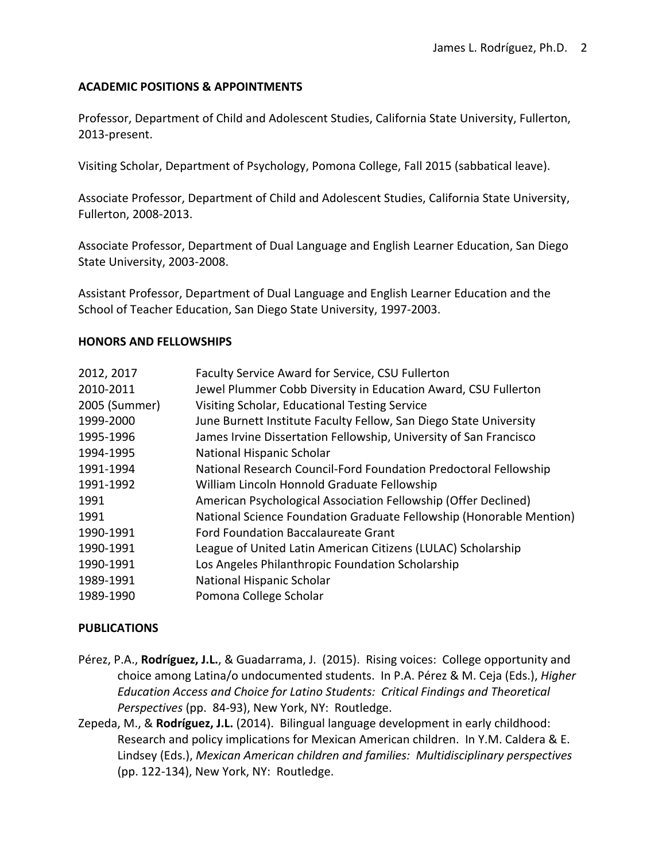## **ACADEMIC POSITIONS & APPOINTMENTS**

Professor, Department of Child and Adolescent Studies, California State University, Fullerton, 2013-present.

Visiting Scholar, Department of Psychology, Pomona College, Fall 2015 (sabbatical leave).

Associate Professor, Department of Child and Adolescent Studies, California State University, Fullerton, 2008-2013.

Associate Professor, Department of Dual Language and English Learner Education, San Diego State University, 2003-2008.

Assistant Professor, Department of Dual Language and English Learner Education and the School of Teacher Education, San Diego State University, 1997-2003.

#### **HONORS AND FELLOWSHIPS**

| 2012, 2017    | Faculty Service Award for Service, CSU Fullerton                    |
|---------------|---------------------------------------------------------------------|
| 2010-2011     | Jewel Plummer Cobb Diversity in Education Award, CSU Fullerton      |
| 2005 (Summer) | Visiting Scholar, Educational Testing Service                       |
| 1999-2000     | June Burnett Institute Faculty Fellow, San Diego State University   |
| 1995-1996     | James Irvine Dissertation Fellowship, University of San Francisco   |
| 1994-1995     | National Hispanic Scholar                                           |
| 1991-1994     | National Research Council-Ford Foundation Predoctoral Fellowship    |
| 1991-1992     | William Lincoln Honnold Graduate Fellowship                         |
| 1991          | American Psychological Association Fellowship (Offer Declined)      |
| 1991          | National Science Foundation Graduate Fellowship (Honorable Mention) |
| 1990-1991     | <b>Ford Foundation Baccalaureate Grant</b>                          |
| 1990-1991     | League of United Latin American Citizens (LULAC) Scholarship        |
| 1990-1991     | Los Angeles Philanthropic Foundation Scholarship                    |
| 1989-1991     | National Hispanic Scholar                                           |
| 1989-1990     | Pomona College Scholar                                              |
|               |                                                                     |

#### **PUBLICATIONS**

- Pérez, P.A., **Rodríguez, J.L.**, & Guadarrama, J. (2015). Rising voices: College opportunity and choice among Latina/o undocumented students. In P.A. Pérez & M. Ceja (Eds.), *Higher* Education Access and Choice for Latino Students: Critical Findings and Theoretical Perspectives (pp. 84-93), New York, NY: Routledge.
- Zepeda, M., & Rodríguez, J.L. (2014). Bilingual language development in early childhood: Research and policy implications for Mexican American children. In Y.M. Caldera & E. Lindsey (Eds.), *Mexican American children and families: Multidisciplinary perspectives* (pp. 122-134), New York, NY: Routledge.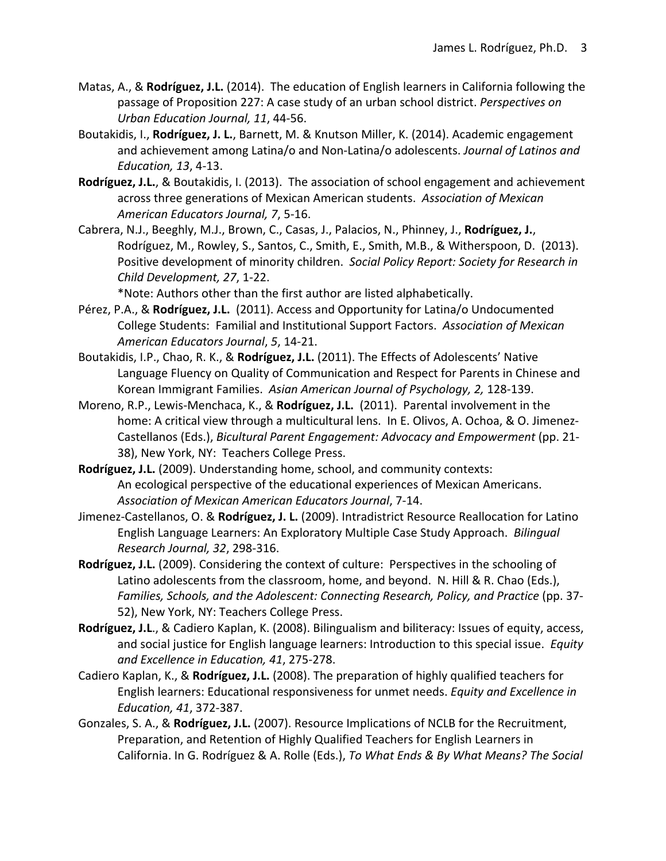- Matas, A., & Rodríguez, J.L. (2014). The education of English learners in California following the passage of Proposition 227: A case study of an urban school district. *Perspectives on Urban Education Journal, 11*, 44-56.
- Boutakidis, I., **Rodríguez, J. L.**, Barnett, M. & Knutson Miller, K. (2014). Academic engagement and achievement among Latina/o and Non-Latina/o adolescents. *Journal of Latinos and Education, 13*, 4-13.
- **Rodríguez, J.L.**, & Boutakidis, I. (2013). The association of school engagement and achievement across three generations of Mexican American students. Association of Mexican *American Educators Journal, 7*, 5-16.
- Cabrera, N.J., Beeghly, M.J., Brown, C., Casas, J., Palacios, N., Phinney, J., Rodríguez, J., Rodríguez, M., Rowley, S., Santos, C., Smith, E., Smith, M.B., & Witherspoon, D. (2013). Positive development of minority children. Social Policy Report: Society for Research in *Child Development, 27*, 1-22.

\*Note: Authors other than the first author are listed alphabetically.

- Pérez, P.A., & Rodríguez, J.L. (2011). Access and Opportunity for Latina/o Undocumented College Students: Familial and Institutional Support Factors. Association of Mexican *American Educators Journal*, *5*, 14-21.
- Boutakidis, I.P., Chao, R. K., & Rodríguez, J.L. (2011). The Effects of Adolescents' Native Language Fluency on Quality of Communication and Respect for Parents in Chinese and Korean Immigrant Families. Asian American Journal of Psychology, 2, 128-139.
- Moreno, R.P., Lewis-Menchaca, K., & Rodríguez, J.L. (2011). Parental involvement in the home: A critical view through a multicultural lens. In E. Olivos, A. Ochoa, & O. Jimenez-Castellanos (Eds.), *Bicultural Parent Engagement: Advocacy and Empowerment* (pp. 21-38), New York, NY: Teachers College Press.
- **Rodríguez, J.L.** (2009). Understanding home, school, and community contexts: An ecological perspective of the educational experiences of Mexican Americans. *Association of Mexican American Educators Journal*, 7-14.
- Jimenez-Castellanos, O. & Rodríguez, J. L. (2009). Intradistrict Resource Reallocation for Latino English Language Learners: An Exploratory Multiple Case Study Approach. Bilingual *Research Journal, 32*, 298-316.
- **Rodríguez, J.L.** (2009). Considering the context of culture: Perspectives in the schooling of Latino adolescents from the classroom, home, and beyond. N. Hill & R. Chao (Eds.), *Families, Schools, and the Adolescent: Connecting Research, Policy, and Practice* (pp. 37- 52), New York, NY: Teachers College Press.
- Rodríguez, J.L., & Cadiero Kaplan, K. (2008). Bilingualism and biliteracy: Issues of equity, access, and social justice for English language learners: Introduction to this special issue. *Equity and Excellence in Education, 41*, 275-278.
- Cadiero Kaplan, K., & Rodríguez, J.L. (2008). The preparation of highly qualified teachers for English learners: Educational responsiveness for unmet needs. *Equity and Excellence in Education, 41*, 372-387.
- Gonzales, S. A., & Rodríguez, J.L. (2007). Resource Implications of NCLB for the Recruitment, Preparation, and Retention of Highly Qualified Teachers for English Learners in California. In G. Rodríguez & A. Rolle (Eds.), To What Ends & By What Means? The Social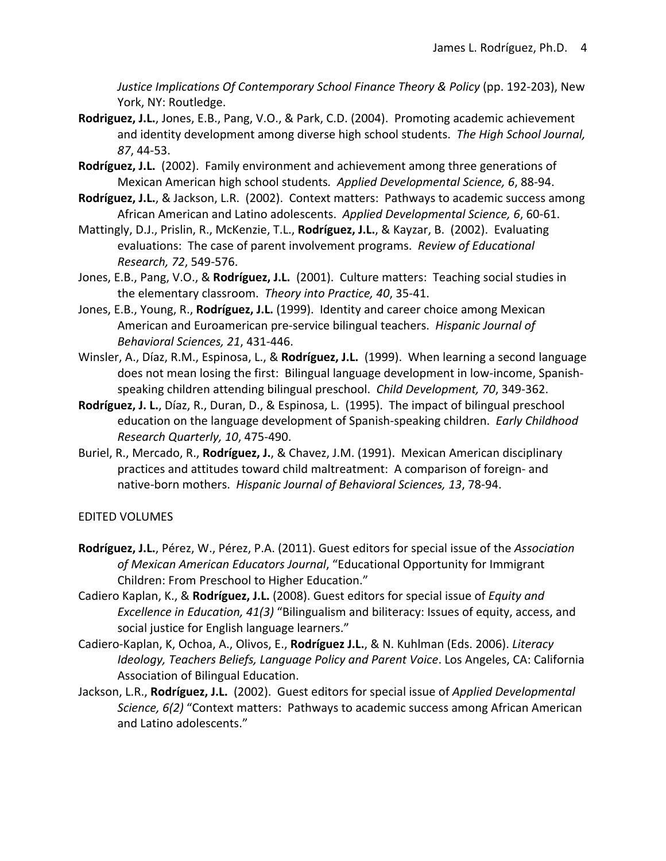*Justice Implications Of Contemporary School Finance Theory & Policy* (pp. 192-203), New York, NY: Routledge.

- **Rodriguez, J.L.**, Jones, E.B., Pang, V.O., & Park, C.D. (2004). Promoting academic achievement and identity development among diverse high school students. The High School Journal, *87*, 44-53.
- **Rodríguez, J.L.** (2002). Family environment and achievement among three generations of Mexican American high school students. Applied Developmental Science, 6, 88-94.
- **Rodríguez, J.L.**, & Jackson, L.R. (2002). Context matters: Pathways to academic success among African American and Latino adolescents. Applied Developmental Science, 6, 60-61.
- Mattingly, D.J., Prislin, R., McKenzie, T.L., **Rodríguez, J.L.**, & Kayzar, B. (2002). Evaluating evaluations: The case of parent involvement programs. *Review of Educational Research, 72*, 549-576.
- Jones, E.B., Pang, V.O., & Rodríguez, J.L. (2001). Culture matters: Teaching social studies in the elementary classroom. Theory into Practice, 40, 35-41.
- Jones, E.B., Young, R., **Rodríguez, J.L.** (1999). Identity and career choice among Mexican American and Euroamerican pre-service bilingual teachers. *Hispanic Journal of Behavioral Sciences, 21*, 431-446.
- Winsler, A., Díaz, R.M., Espinosa, L., & Rodríguez, J.L. (1999). When learning a second language does not mean losing the first: Bilingual language development in low-income, Spanishspeaking children attending bilingual preschool. *Child Development, 70*, 349-362.
- **Rodríguez, J. L.**, Díaz, R., Duran, D., & Espinosa, L. (1995). The impact of bilingual preschool education on the language development of Spanish-speaking children. *Early Childhood Research Quarterly, 10*, 475-490.
- Buriel, R., Mercado, R., **Rodríguez, J.**, & Chavez, J.M. (1991). Mexican American disciplinary practices and attitudes toward child maltreatment: A comparison of foreign- and native-born mothers. Hispanic Journal of Behavioral Sciences, 13, 78-94.

# EDITED VOLUMES

- **Rodríguez, J.L.**, Pérez, W., Pérez, P.A. (2011). Guest editors for special issue of the Association of Mexican American Educators Journal, "Educational Opportunity for Immigrant Children: From Preschool to Higher Education."
- Cadiero Kaplan, K., & Rodríguez, J.L. (2008). Guest editors for special issue of *Equity and Excellence in Education, 41(3)* "Bilingualism and biliteracy: Issues of equity, access, and social justice for English language learners."
- Cadiero-Kaplan, K, Ochoa, A., Olivos, E., Rodríguez J.L., & N. Kuhlman (Eds. 2006). Literacy *Ideology, Teachers Beliefs, Language Policy and Parent Voice. Los Angeles, CA: California* Association of Bilingual Education.
- Jackson, L.R., **Rodríguez, J.L.** (2002). Guest editors for special issue of *Applied Developmental Science,* 6(2) "Context matters: Pathways to academic success among African American and Latino adolescents."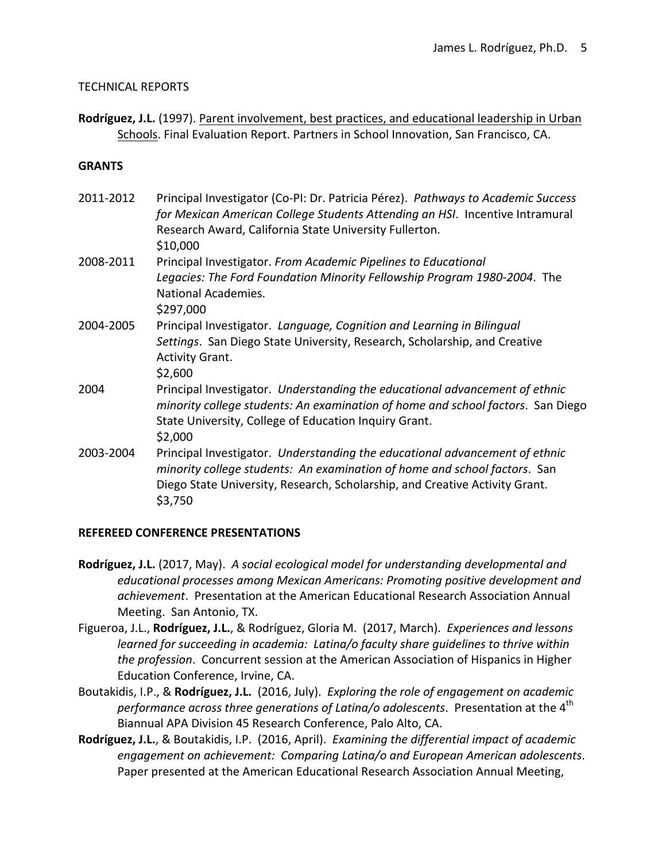## TECHNICAL REPORTS

Rodríguez, J.L. (1997). Parent involvement, best practices, and educational leadership in Urban Schools. Final Evaluation Report. Partners in School Innovation, San Francisco, CA.

#### **GRANTS**

| 2011-2012 | Principal Investigator (Co-PI: Dr. Patricia Pérez). Pathways to Academic Success<br>for Mexican American College Students Attending an HSI. Incentive Intramural<br>Research Award, California State University Fullerton.<br>\$10,000             |
|-----------|----------------------------------------------------------------------------------------------------------------------------------------------------------------------------------------------------------------------------------------------------|
| 2008-2011 | Principal Investigator. From Academic Pipelines to Educational<br>Legacies: The Ford Foundation Minority Fellowship Program 1980-2004. The<br><b>National Academies.</b><br>\$297,000                                                              |
| 2004-2005 | Principal Investigator. Language, Cognition and Learning in Bilingual<br>Settings. San Diego State University, Research, Scholarship, and Creative<br><b>Activity Grant.</b><br>\$2,600                                                            |
| 2004      | Principal Investigator. Understanding the educational advancement of ethnic<br>minority college students: An examination of home and school factors. San Diego<br>State University, College of Education Inquiry Grant.<br>\$2,000                 |
| 2003-2004 | Principal Investigator. Understanding the educational advancement of ethnic<br>minority college students: An examination of home and school factors. San<br>Diego State University, Research, Scholarship, and Creative Activity Grant.<br>\$3,750 |

#### **REFEREED CONFERENCE PRESENTATIONS**

- **Rodríguez, J.L.** (2017, May). A social ecological model for understanding developmental and educational processes among Mexican Americans: Promoting positive development and *achievement*. Presentation at the American Educational Research Association Annual Meeting. San Antonio, TX.
- Figueroa, J.L., **Rodríguez, J.L.**, & Rodríguez, Gloria M. (2017, March). *Experiences and lessons learned for succeeding in academia: Latina/o faculty share guidelines to thrive within the profession*. Concurrent session at the American Association of Hispanics in Higher Education Conference, Irvine, CA.
- Boutakidis, I.P., & Rodríguez, J.L. (2016, July). *Exploring the role of engagement on academic* performance across three generations of Latina/o adolescents. Presentation at the 4<sup>th</sup> Biannual APA Division 45 Research Conference, Palo Alto, CA.
- **Rodríguez, J.L.**, & Boutakidis, I.P. (2016, April). *Examining the differential impact of academic* engagement on achievement: Comparing Latina/o and European American adolescents. Paper presented at the American Educational Research Association Annual Meeting,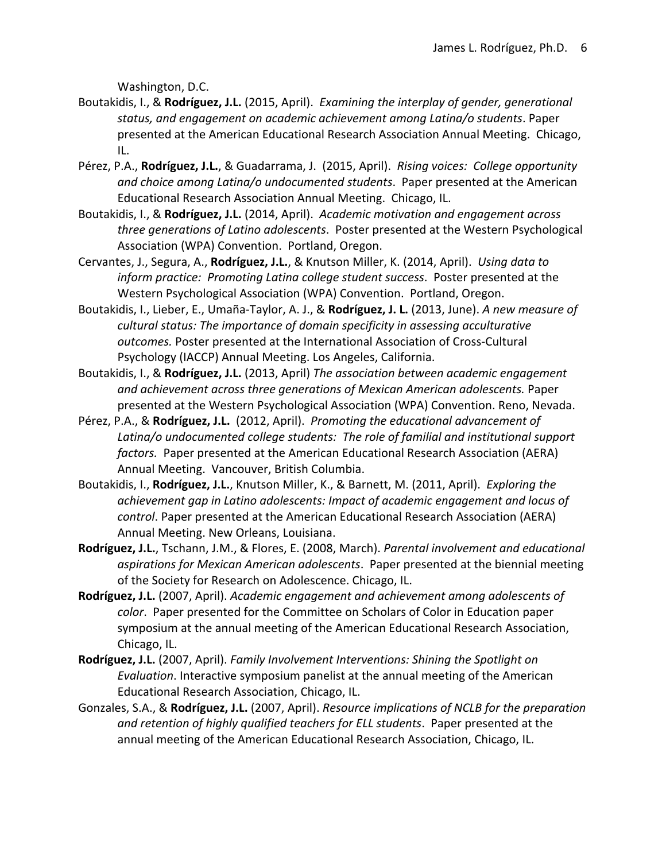Washington, D.C.

- Boutakidis, I., & Rodríguez, J.L. (2015, April). *Examining the interplay of gender, generational status, and engagement on academic achievement among Latina/o students*. Paper presented at the American Educational Research Association Annual Meeting. Chicago, IL.
- Pérez, P.A., **Rodríguez, J.L.**, & Guadarrama, J. (2015, April). Rising voices: College opportunity and choice among Latina/o undocumented students. Paper presented at the American Educational Research Association Annual Meeting. Chicago, IL.
- Boutakidis, I., & Rodríguez, J.L. (2014, April). Academic motivation and engagement across *three generations of Latino adolescents*. Poster presented at the Western Psychological Association (WPA) Convention. Portland, Oregon.
- Cervantes, J., Segura, A., Rodríguez, J.L., & Knutson Miller, K. (2014, April). Using data to *inform practice: Promoting Latina college student success. Poster presented at the* Western Psychological Association (WPA) Convention. Portland, Oregon.
- Boutakidis, I., Lieber, E., Umaña-Taylor, A. J., & Rodríguez, J. L. (2013, June). A new measure of *cultural status:* The *importance of domain specificity in assessing acculturative* outcomes. Poster presented at the International Association of Cross-Cultural Psychology (IACCP) Annual Meeting. Los Angeles, California.
- Boutakidis, I., & Rodríguez, J.L. (2013, April) The association between academic engagement *and achievement across three generations of Mexican American adolescents.* Paper presented at the Western Psychological Association (WPA) Convention. Reno, Nevada.
- Pérez, P.A., & Rodríguez, J.L. (2012, April). Promoting the educational advancement of Latina/o undocumented college students: The role of familial and institutional support *factors.* Paper presented at the American Educational Research Association (AERA) Annual Meeting. Vancouver, British Columbia.
- Boutakidis, I., **Rodríguez, J.L.**, Knutson Miller, K., & Barnett, M. (2011, April). Exploring the achievement gap in Latino adolescents: Impact of academic engagement and locus of control. Paper presented at the American Educational Research Association (AERA) Annual Meeting. New Orleans, Louisiana.
- Rodríguez, J.L., Tschann, J.M., & Flores, E. (2008, March). *Parental involvement and educational aspirations for Mexican American adolescents*. Paper presented at the biennial meeting of the Society for Research on Adolescence. Chicago, IL.
- **Rodríguez, J.L.** (2007, April). *Academic engagement and achievement among adolescents of* color. Paper presented for the Committee on Scholars of Color in Education paper symposium at the annual meeting of the American Educational Research Association, Chicago, IL.
- **Rodríguez, J.L.** (2007, April). *Family Involvement Interventions: Shining the Spotlight on* Evaluation. Interactive symposium panelist at the annual meeting of the American Educational Research Association, Chicago, IL.
- Gonzales, S.A., & Rodríguez, J.L. (2007, April). *Resource implications of NCLB for the preparation* and retention of highly qualified teachers for ELL students. Paper presented at the annual meeting of the American Educational Research Association, Chicago, IL.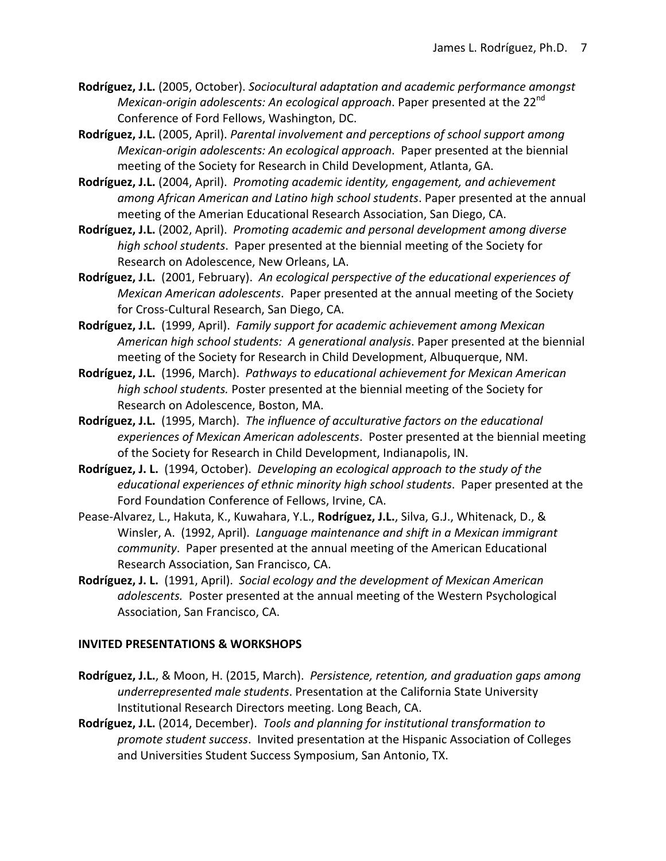- Rodríguez, J.L. (2005, October). Sociocultural adaptation and academic performance amonast *Mexican-origin adolescents: An ecological approach*. Paper presented at the 22<sup>nd</sup> Conference of Ford Fellows, Washington, DC.
- **Rodríguez, J.L.** (2005, April). *Parental involvement and perceptions of school support among Mexican-origin adolescents: An ecological approach.* Paper presented at the biennial meeting of the Society for Research in Child Development, Atlanta, GA.
- **Rodríguez, J.L.** (2004, April). *Promoting academic identity, engagement, and achievement among African American and Latino high school students*. Paper presented at the annual meeting of the Amerian Educational Research Association, San Diego, CA.
- **Rodríguez, J.L.** (2002, April). *Promoting academic and personal development among diverse high school students.* Paper presented at the biennial meeting of the Society for Research on Adolescence, New Orleans, LA.
- Rodríguez, J.L. (2001, February). An ecological perspective of the educational experiences of *Mexican American adolescents.* Paper presented at the annual meeting of the Society for Cross-Cultural Research, San Diego, CA.
- **Rodríguez, J.L.** (1999, April). Family support for academic achievement among Mexican American high school students: A generational analysis. Paper presented at the biennial meeting of the Society for Research in Child Development, Albuquerque, NM.
- **Rodríguez, J.L.** (1996, March). *Pathways to educational achievement for Mexican American high school students.* Poster presented at the biennial meeting of the Society for Research on Adolescence, Boston, MA.
- Rodríguez, J.L. (1995, March). The influence of acculturative factors on the educational experiences of Mexican American adolescents. Poster presented at the biennial meeting of the Society for Research in Child Development, Indianapolis, IN.
- **Rodríguez, J. L.** (1994, October). *Developing an ecological approach to the study of the educational experiences of ethnic minority high school students*. Paper presented at the Ford Foundation Conference of Fellows, Irvine, CA.
- Pease-Alvarez, L., Hakuta, K., Kuwahara, Y.L., Rodríguez, J.L., Silva, G.J., Whitenack, D., & Winsler, A. (1992, April). Language maintenance and shift in a Mexican immigrant *community*. Paper presented at the annual meeting of the American Educational Research Association, San Francisco, CA.
- **Rodríguez, J. L.** (1991, April). Social ecology and the development of Mexican American adolescents. Poster presented at the annual meeting of the Western Psychological Association, San Francisco, CA.

#### **INVITED PRESENTATIONS & WORKSHOPS**

- Rodríguez, J.L., & Moon, H. (2015, March). Persistence, retention, and graduation gaps among *underrepresented male students*. Presentation at the California State University Institutional Research Directors meeting. Long Beach, CA.
- Rodríguez, J.L. (2014, December). *Tools and planning for institutional transformation to promote student success.* Invited presentation at the Hispanic Association of Colleges and Universities Student Success Symposium, San Antonio, TX.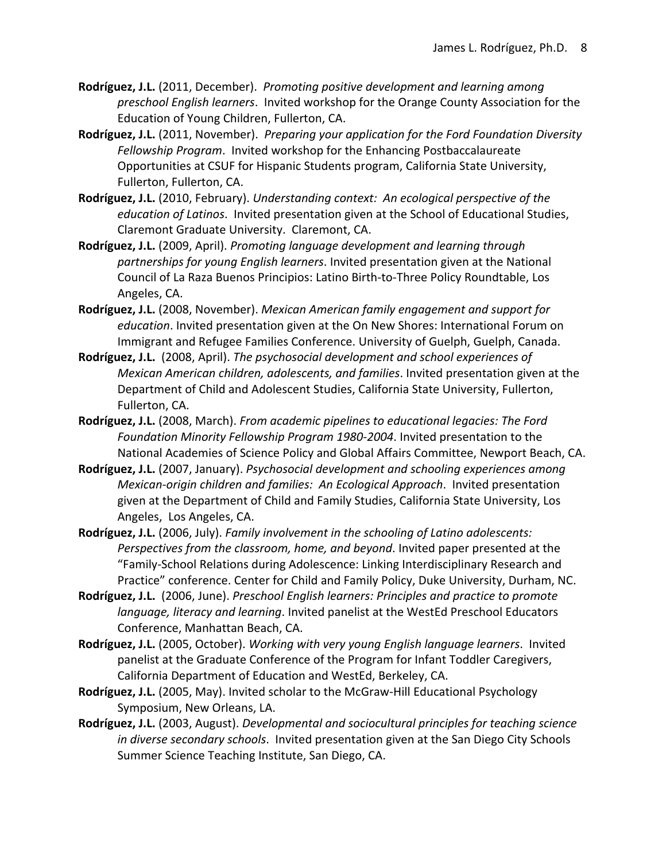- **Rodríguez, J.L.** (2011, December). *Promoting positive development and learning among* preschool English learners. Invited workshop for the Orange County Association for the Education of Young Children, Fullerton, CA.
- Rodríguez, J.L. (2011, November). Preparing your application for the Ford Foundation Diversity Fellowship Program. Invited workshop for the Enhancing Postbaccalaureate Opportunities at CSUF for Hispanic Students program, California State University, Fullerton, Fullerton, CA.
- Rodríguez, J.L. (2010, February). *Understanding context:* An ecological perspective of the education of Latinos. Invited presentation given at the School of Educational Studies, Claremont Graduate University. Claremont, CA.
- **Rodríguez, J.L.** (2009, April). *Promoting language development and learning through partnerships for young English learners*. Invited presentation given at the National Council of La Raza Buenos Principios: Latino Birth-to-Three Policy Roundtable, Los Angeles, CA.
- **Rodríguez, J.L.** (2008, November). *Mexican American family engagement and support for education*. Invited presentation given at the On New Shores: International Forum on Immigrant and Refugee Families Conference. University of Guelph, Guelph, Canada.
- **Rodríguez, J.L.** (2008, April). *The psychosocial development and school experiences of Mexican American children, adolescents, and families*. Invited presentation given at the Department of Child and Adolescent Studies, California State University, Fullerton, Fullerton, CA.
- **Rodríguez, J.L.** (2008, March). *From academic pipelines to educational legacies: The Ford* Foundation Minority Fellowship Program 1980-2004. Invited presentation to the National Academies of Science Policy and Global Affairs Committee, Newport Beach, CA.
- **Rodríguez, J.L.** (2007, January). *Psychosocial development and schooling experiences among Mexican-origin children and families: An Ecological Approach.* Invited presentation given at the Department of Child and Family Studies, California State University, Los Angeles, Los Angeles, CA.
- **Rodríguez, J.L.** (2006, July). *Family involvement in the schooling of Latino adolescents:* Perspectives from the classroom, home, and beyond. Invited paper presented at the "Family-School Relations during Adolescence: Linking Interdisciplinary Research and Practice" conference. Center for Child and Family Policy, Duke University, Durham, NC.
- **Rodríguez, J.L.** (2006, June). *Preschool English learners: Principles and practice to promote* language, literacy and learning. Invited panelist at the WestEd Preschool Educators Conference, Manhattan Beach, CA.
- Rodríguez, J.L. (2005, October). *Working with very young English language learners*. Invited panelist at the Graduate Conference of the Program for Infant Toddler Caregivers, California Department of Education and WestEd, Berkeley, CA.
- Rodríguez, J.L. (2005, May). Invited scholar to the McGraw-Hill Educational Psychology Symposium, New Orleans, LA.
- Rodríguez, J.L. (2003, August). *Developmental and sociocultural principles for teaching science in diverse secondary schools*. Invited presentation given at the San Diego City Schools Summer Science Teaching Institute, San Diego, CA.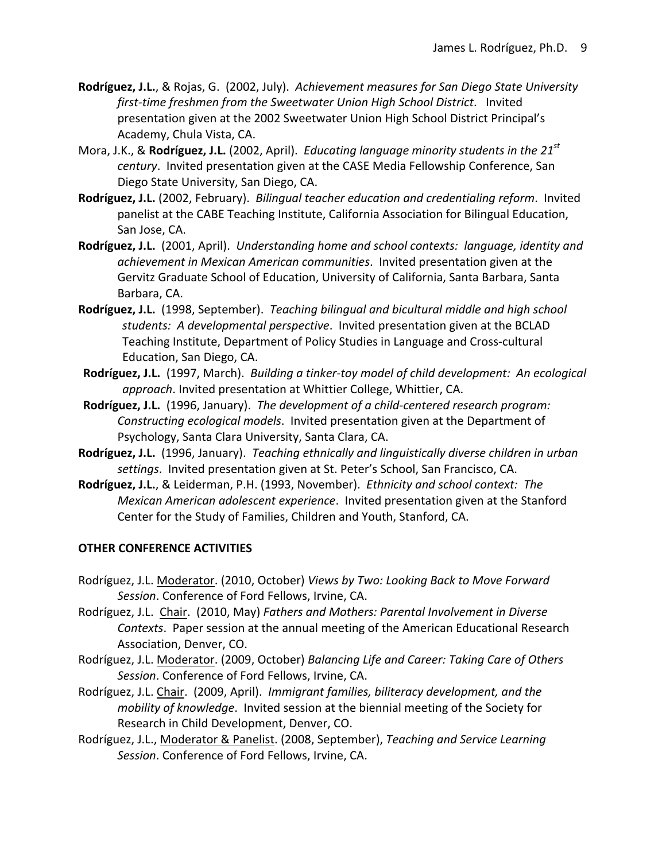- **Rodríguez, J.L.**, & Rojas, G. (2002, July). Achievement measures for San Diego State University *first-time freshmen from the Sweetwater Union High School District.* Invited presentation given at the 2002 Sweetwater Union High School District Principal's Academy, Chula Vista, CA.
- Mora, J.K., & **Rodríguez, J.L.** (2002, April). *Educating language minority students in the* 21<sup>st</sup> *century*. Invited presentation given at the CASE Media Fellowship Conference, San Diego State University, San Diego, CA.
- Rodríguez, J.L. (2002, February). Bilingual teacher education and credentialing reform. Invited panelist at the CABE Teaching Institute, California Association for Bilingual Education, San Jose, CA.
- **Rodríguez, J.L.** (2001, April). Understanding home and school contexts: language, identity and *achievement in Mexican American communities*. Invited presentation given at the Gervitz Graduate School of Education, University of California, Santa Barbara, Santa Barbara, CA.
- **Rodríguez, J.L.** (1998, September). *Teaching bilingual and bicultural middle and high school students: A developmental perspective.* Invited presentation given at the BCLAD Teaching Institute, Department of Policy Studies in Language and Cross-cultural Education, San Diego, CA.
- **Rodríguez, J.L.** (1997, March). *Building a tinker-toy model of child development: An ecological* approach. Invited presentation at Whittier College, Whittier, CA.
- **Rodríguez, J.L.** (1996, January). *The development of a child-centered research program: Constructing ecological models.* Invited presentation given at the Department of Psychology, Santa Clara University, Santa Clara, CA.
- **Rodríguez, J.L.** (1996, January). *Teaching ethnically and linguistically diverse children in urban* settings. Invited presentation given at St. Peter's School, San Francisco, CA.
- **Rodríguez, J.L.**, & Leiderman, P.H. (1993, November). *Ethnicity and school context: The Mexican American adolescent experience*. Invited presentation given at the Stanford Center for the Study of Families, Children and Youth, Stanford, CA.

# **OTHER CONFERENCE ACTIVITIES**

- Rodríguez, J.L. Moderator. (2010, October) Views by Two: Looking Back to Move Forward Session. Conference of Ford Fellows, Irvine, CA.
- Rodríguez, J.L. Chair. (2010, May) Fathers and Mothers: Parental Involvement in Diverse Contexts. Paper session at the annual meeting of the American Educational Research Association, Denver, CO.
- Rodríguez, J.L. Moderator. (2009, October) *Balancing Life and Career: Taking Care of Others* Session. Conference of Ford Fellows, Irvine, CA.
- Rodríguez, J.L. Chair. (2009, April). *Immigrant families, biliteracy development, and the mobility of knowledge*. Invited session at the biennial meeting of the Society for Research in Child Development, Denver, CO.
- Rodríguez, J.L., Moderator & Panelist. (2008, September), *Teaching and Service Learning* Session. Conference of Ford Fellows, Irvine, CA.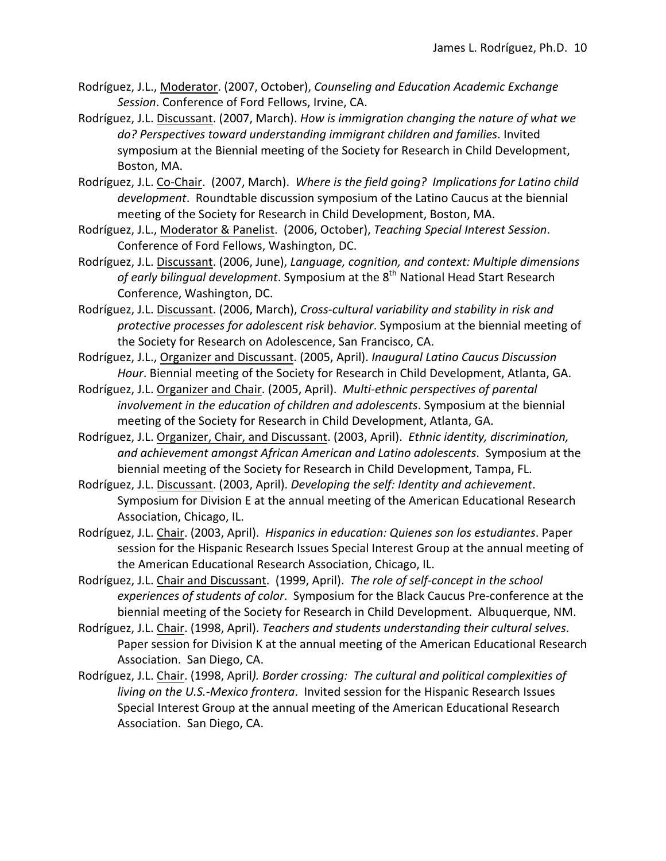- Rodríguez, J.L., Moderator. (2007, October), *Counseling and Education Academic Exchange* Session. Conference of Ford Fellows, Irvine, CA.
- Rodríguez, J.L. Discussant. (2007, March). *How is immigration changing the nature of what we* do? Perspectives toward understanding immigrant children and families. Invited symposium at the Biennial meeting of the Society for Research in Child Development, Boston, MA.
- Rodríguez, J.L. Co-Chair. (2007, March). Where is the field going? Implications for Latino child development. Roundtable discussion symposium of the Latino Caucus at the biennial meeting of the Society for Research in Child Development, Boston, MA.
- Rodríguez, J.L., Moderator & Panelist. (2006, October), *Teaching Special Interest Session*. Conference of Ford Fellows, Washington, DC.
- Rodríguez, J.L. Discussant. (2006, June), *Language, cognition, and context: Multiple dimensions* of early bilingual development. Symposium at the 8<sup>th</sup> National Head Start Research Conference, Washington, DC.
- Rodríguez, J.L. Discussant. (2006, March), *Cross-cultural variability and stability in risk and protective processes for adolescent risk behavior*. Symposium at the biennial meeting of the Society for Research on Adolescence, San Francisco, CA.
- Rodríguez, J.L., Organizer and Discussant. (2005, April). Inaugural Latino Caucus Discussion Hour. Biennial meeting of the Society for Research in Child Development, Atlanta, GA.
- Rodríguez, J.L. Organizer and Chair. (2005, April). *Multi-ethnic perspectives of parental involvement in the education of children and adolescents*. Symposium at the biennial meeting of the Society for Research in Child Development, Atlanta, GA.
- Rodríguez, J.L. Organizer, Chair, and Discussant. (2003, April). Ethnic identity, discrimination, and achievement amongst African American and Latino adolescents. Symposium at the biennial meeting of the Society for Research in Child Development, Tampa, FL.
- Rodríguez, J.L. Discussant. (2003, April). *Developing the self: Identity and achievement*. Symposium for Division E at the annual meeting of the American Educational Research Association, Chicago, IL.
- Rodríguez, J.L. Chair. (2003, April). Hispanics in education: Quienes son los estudiantes. Paper session for the Hispanic Research Issues Special Interest Group at the annual meeting of the American Educational Research Association, Chicago, IL.
- Rodríguez, J.L. Chair and Discussant. (1999, April). The role of self-concept in the school experiences of students of color. Symposium for the Black Caucus Pre-conference at the biennial meeting of the Society for Research in Child Development. Albuquerque, NM.
- Rodríguez, J.L. Chair. (1998, April). *Teachers and students understanding their cultural selves*. Paper session for Division K at the annual meeting of the American Educational Research Association. San Diego, CA.
- Rodríguez, J.L. Chair. (1998, April). Border crossing: The cultural and political complexities of *living on the U.S.-Mexico frontera.* Invited session for the Hispanic Research Issues Special Interest Group at the annual meeting of the American Educational Research Association. San Diego, CA.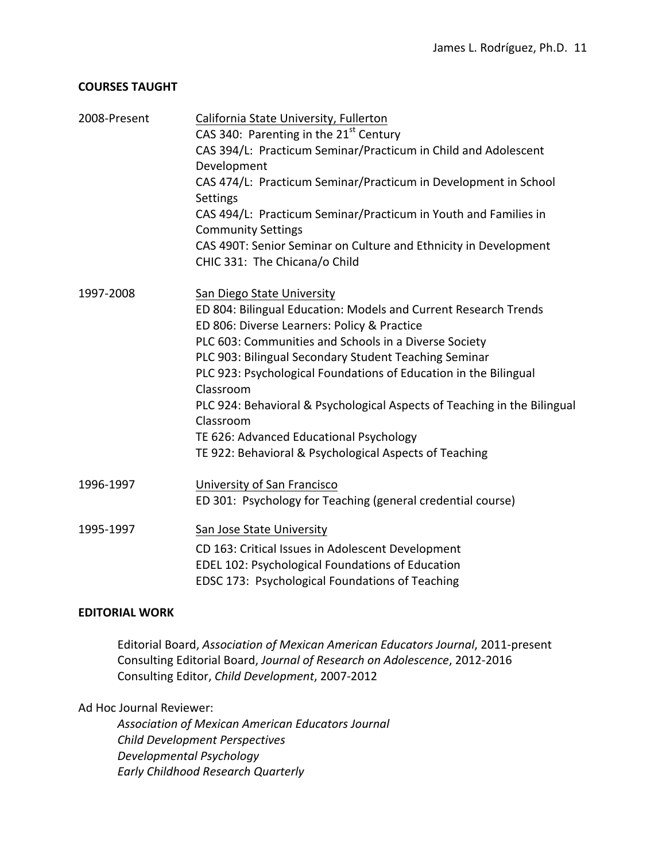#### **COURSES TAUGHT**

| 2008-Present | California State University, Fullerton                                   |
|--------------|--------------------------------------------------------------------------|
|              | CAS 340: Parenting in the 21 <sup>st</sup> Century                       |
|              | CAS 394/L: Practicum Seminar/Practicum in Child and Adolescent           |
|              | Development                                                              |
|              | CAS 474/L: Practicum Seminar/Practicum in Development in School          |
|              | Settings                                                                 |
|              | CAS 494/L: Practicum Seminar/Practicum in Youth and Families in          |
|              | <b>Community Settings</b>                                                |
|              | CAS 490T: Senior Seminar on Culture and Ethnicity in Development         |
|              | CHIC 331: The Chicana/o Child                                            |
| 1997-2008    | San Diego State University                                               |
|              | ED 804: Bilingual Education: Models and Current Research Trends          |
|              | ED 806: Diverse Learners: Policy & Practice                              |
|              | PLC 603: Communities and Schools in a Diverse Society                    |
|              | PLC 903: Bilingual Secondary Student Teaching Seminar                    |
|              | PLC 923: Psychological Foundations of Education in the Bilingual         |
|              | Classroom                                                                |
|              | PLC 924: Behavioral & Psychological Aspects of Teaching in the Bilingual |
|              | Classroom                                                                |
|              | TE 626: Advanced Educational Psychology                                  |
|              | TE 922: Behavioral & Psychological Aspects of Teaching                   |
| 1996-1997    | <b>University of San Francisco</b>                                       |
|              | ED 301: Psychology for Teaching (general credential course)              |
| 1995-1997    | <b>San Jose State University</b>                                         |
|              | CD 163: Critical Issues in Adolescent Development                        |
|              | EDEL 102: Psychological Foundations of Education                         |
|              | EDSC 173: Psychological Foundations of Teaching                          |

#### **EDITORIAL WORK**

Editorial Board, *Association of Mexican American Educators Journal*, 2011-present Consulting Editorial Board, *Journal of Research on Adolescence*, 2012-2016 Consulting Editor, *Child Development*, 2007-2012

## Ad Hoc Journal Reviewer:

*Association of Mexican American Educators Journal Child Development Perspectives Developmental Psychology Early Childhood Research Quarterly*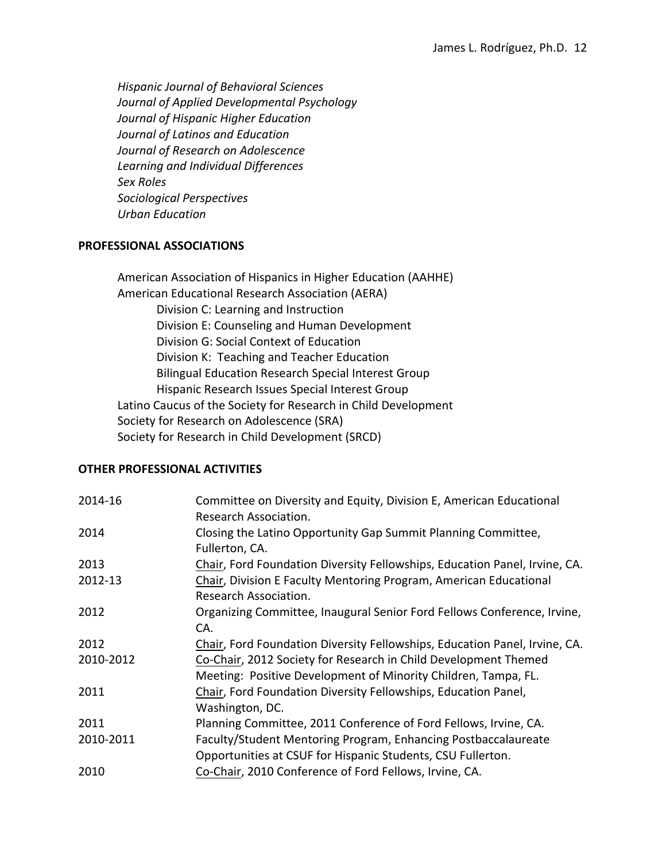*Hispanic Journal of Behavioral Sciences Journal of Applied Developmental Psychology Journal of Hispanic Higher Education Journal of Latinos and Education* **Journal of Research on Adolescence** *Learning and Individual Differences Sex Roles Sociological Perspectives Urban Education*

#### **PROFESSIONAL ASSOCIATIONS**

American Association of Hispanics in Higher Education (AAHHE) American Educational Research Association (AERA) Division C: Learning and Instruction Division E: Counseling and Human Development Division G: Social Context of Education Division K: Teaching and Teacher Education Bilingual Education Research Special Interest Group Hispanic Research Issues Special Interest Group Latino Caucus of the Society for Research in Child Development Society for Research on Adolescence (SRA) Society for Research in Child Development (SRCD)

#### **OTHER PROFESSIONAL ACTIVITIES**

| 2014-16   | Committee on Diversity and Equity, Division E, American Educational        |
|-----------|----------------------------------------------------------------------------|
|           | Research Association.                                                      |
| 2014      | Closing the Latino Opportunity Gap Summit Planning Committee,              |
|           | Fullerton, CA.                                                             |
| 2013      | Chair, Ford Foundation Diversity Fellowships, Education Panel, Irvine, CA. |
| 2012-13   | Chair, Division E Faculty Mentoring Program, American Educational          |
|           | Research Association.                                                      |
| 2012      | Organizing Committee, Inaugural Senior Ford Fellows Conference, Irvine,    |
|           | CA.                                                                        |
| 2012      | Chair, Ford Foundation Diversity Fellowships, Education Panel, Irvine, CA. |
| 2010-2012 | Co-Chair, 2012 Society for Research in Child Development Themed            |
|           | Meeting: Positive Development of Minority Children, Tampa, FL.             |
| 2011      | Chair, Ford Foundation Diversity Fellowships, Education Panel,             |
|           | Washington, DC.                                                            |
| 2011      | Planning Committee, 2011 Conference of Ford Fellows, Irvine, CA.           |
| 2010-2011 | Faculty/Student Mentoring Program, Enhancing Postbaccalaureate             |
|           | Opportunities at CSUF for Hispanic Students, CSU Fullerton.                |
| 2010      | Co-Chair, 2010 Conference of Ford Fellows, Irvine, CA.                     |
|           |                                                                            |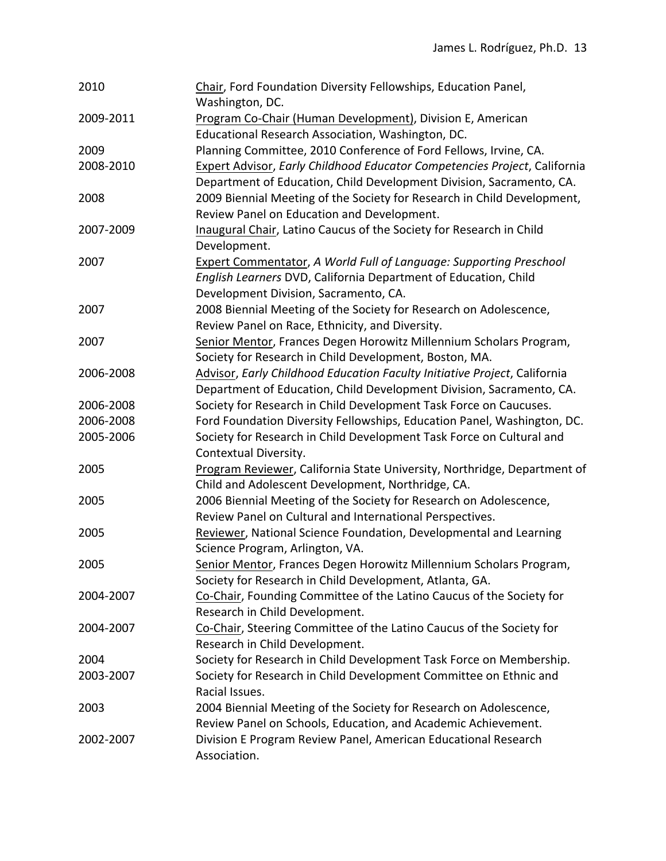| 2010      | Chair, Ford Foundation Diversity Fellowships, Education Panel,<br>Washington, DC. |
|-----------|-----------------------------------------------------------------------------------|
| 2009-2011 | Program Co-Chair (Human Development), Division E, American                        |
|           | Educational Research Association, Washington, DC.                                 |
| 2009      | Planning Committee, 2010 Conference of Ford Fellows, Irvine, CA.                  |
| 2008-2010 | Expert Advisor, Early Childhood Educator Competencies Project, California         |
|           | Department of Education, Child Development Division, Sacramento, CA.              |
| 2008      | 2009 Biennial Meeting of the Society for Research in Child Development,           |
|           | Review Panel on Education and Development.                                        |
| 2007-2009 | Inaugural Chair, Latino Caucus of the Society for Research in Child               |
|           | Development.                                                                      |
| 2007      | Expert Commentator, A World Full of Language: Supporting Preschool                |
|           | English Learners DVD, California Department of Education, Child                   |
|           | Development Division, Sacramento, CA.                                             |
| 2007      | 2008 Biennial Meeting of the Society for Research on Adolescence,                 |
|           | Review Panel on Race, Ethnicity, and Diversity.                                   |
| 2007      | Senior Mentor, Frances Degen Horowitz Millennium Scholars Program,                |
|           | Society for Research in Child Development, Boston, MA.                            |
| 2006-2008 | Advisor, Early Childhood Education Faculty Initiative Project, California         |
|           | Department of Education, Child Development Division, Sacramento, CA.              |
| 2006-2008 | Society for Research in Child Development Task Force on Caucuses.                 |
| 2006-2008 | Ford Foundation Diversity Fellowships, Education Panel, Washington, DC.           |
| 2005-2006 | Society for Research in Child Development Task Force on Cultural and              |
|           | Contextual Diversity.                                                             |
| 2005      | Program Reviewer, California State University, Northridge, Department of          |
|           | Child and Adolescent Development, Northridge, CA.                                 |
| 2005      | 2006 Biennial Meeting of the Society for Research on Adolescence,                 |
|           | Review Panel on Cultural and International Perspectives.                          |
| 2005      | Reviewer, National Science Foundation, Developmental and Learning                 |
|           | Science Program, Arlington, VA.                                                   |
| 2005      | Senior Mentor, Frances Degen Horowitz Millennium Scholars Program,                |
|           | Society for Research in Child Development, Atlanta, GA.                           |
| 2004-2007 | Co-Chair, Founding Committee of the Latino Caucus of the Society for              |
|           | Research in Child Development.                                                    |
| 2004-2007 | Co-Chair, Steering Committee of the Latino Caucus of the Society for              |
|           | Research in Child Development.                                                    |
| 2004      | Society for Research in Child Development Task Force on Membership.               |
| 2003-2007 | Society for Research in Child Development Committee on Ethnic and                 |
|           | Racial Issues.                                                                    |
| 2003      | 2004 Biennial Meeting of the Society for Research on Adolescence,                 |
|           | Review Panel on Schools, Education, and Academic Achievement.                     |
| 2002-2007 | Division E Program Review Panel, American Educational Research                    |
|           | Association.                                                                      |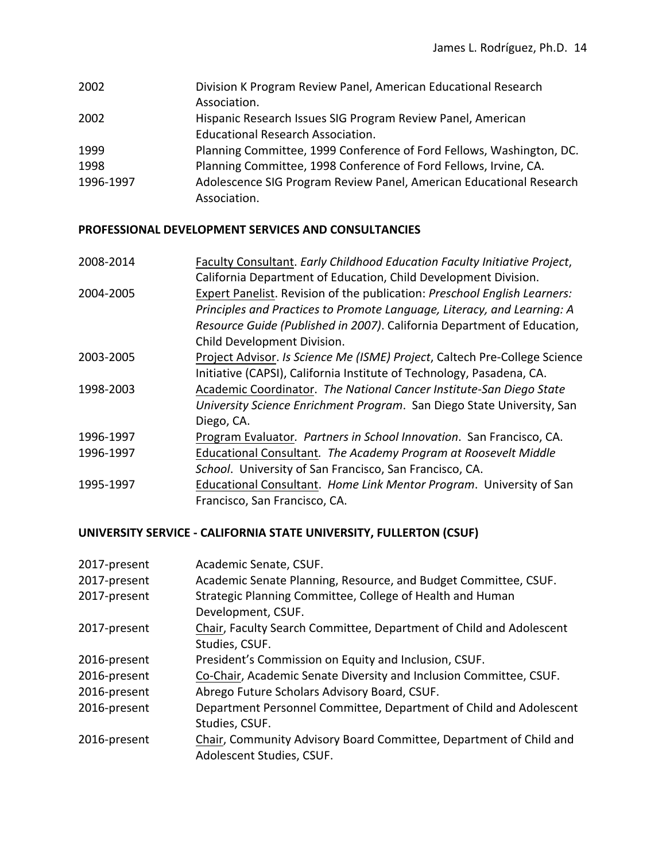| 2002      | Division K Program Review Panel, American Educational Research       |
|-----------|----------------------------------------------------------------------|
|           | Association.                                                         |
| 2002      | Hispanic Research Issues SIG Program Review Panel, American          |
|           | <b>Educational Research Association.</b>                             |
| 1999      | Planning Committee, 1999 Conference of Ford Fellows, Washington, DC. |
| 1998      | Planning Committee, 1998 Conference of Ford Fellows, Irvine, CA.     |
| 1996-1997 | Adolescence SIG Program Review Panel, American Educational Research  |
|           | Association.                                                         |

# **PROFESSIONAL DEVELOPMENT SERVICES AND CONSULTANCIES**

| 2008-2014 | Faculty Consultant. Early Childhood Education Faculty Initiative Project,  |
|-----------|----------------------------------------------------------------------------|
|           | California Department of Education, Child Development Division.            |
| 2004-2005 | Expert Panelist. Revision of the publication: Preschool English Learners:  |
|           | Principles and Practices to Promote Language, Literacy, and Learning: A    |
|           | Resource Guide (Published in 2007). California Department of Education,    |
|           | Child Development Division.                                                |
| 2003-2005 | Project Advisor. Is Science Me (ISME) Project, Caltech Pre-College Science |
|           | Initiative (CAPSI), California Institute of Technology, Pasadena, CA.      |
| 1998-2003 | Academic Coordinator. The National Cancer Institute-San Diego State        |
|           | University Science Enrichment Program. San Diego State University, San     |
|           | Diego, CA.                                                                 |
| 1996-1997 | Program Evaluator. Partners in School Innovation. San Francisco, CA.       |
| 1996-1997 | Educational Consultant. The Academy Program at Roosevelt Middle            |
|           | School. University of San Francisco, San Francisco, CA.                    |
| 1995-1997 | Educational Consultant. Home Link Mentor Program. University of San        |
|           | Francisco, San Francisco, CA.                                              |

# **UNIVERSITY SERVICE - CALIFORNIA STATE UNIVERSITY, FULLERTON (CSUF)**

| 2017-present | Academic Senate, CSUF.                                              |
|--------------|---------------------------------------------------------------------|
| 2017-present | Academic Senate Planning, Resource, and Budget Committee, CSUF.     |
| 2017-present | Strategic Planning Committee, College of Health and Human           |
|              | Development, CSUF.                                                  |
| 2017-present | Chair, Faculty Search Committee, Department of Child and Adolescent |
|              | Studies, CSUF.                                                      |
| 2016-present | President's Commission on Equity and Inclusion, CSUF.               |
| 2016-present | Co-Chair, Academic Senate Diversity and Inclusion Committee, CSUF.  |
| 2016-present | Abrego Future Scholars Advisory Board, CSUF.                        |
| 2016-present | Department Personnel Committee, Department of Child and Adolescent  |
|              | Studies, CSUF.                                                      |
| 2016-present | Chair, Community Advisory Board Committee, Department of Child and  |
|              | Adolescent Studies, CSUF.                                           |
|              |                                                                     |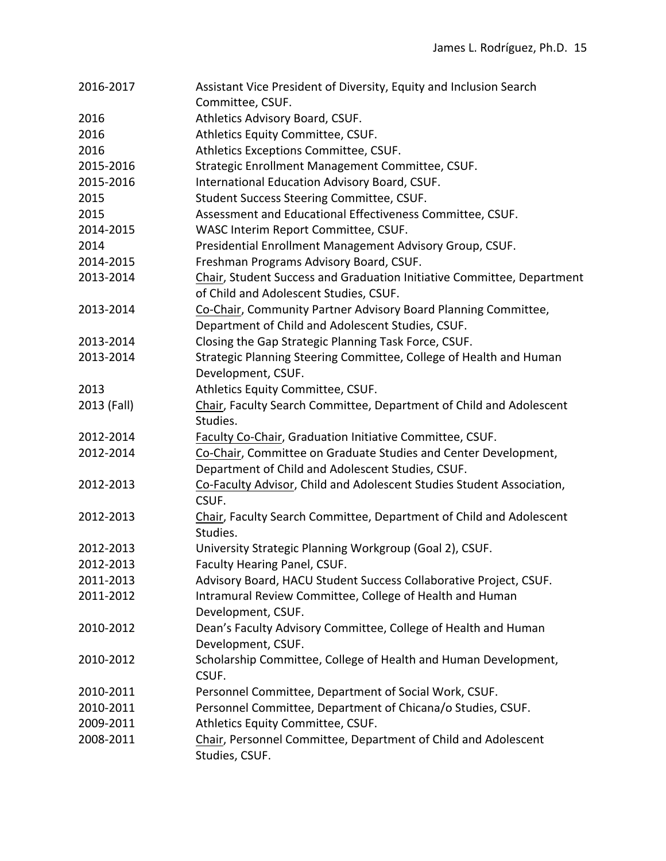| 2016-2017   | Assistant Vice President of Diversity, Equity and Inclusion Search               |
|-------------|----------------------------------------------------------------------------------|
|             | Committee, CSUF.                                                                 |
| 2016        | Athletics Advisory Board, CSUF.                                                  |
| 2016        | Athletics Equity Committee, CSUF.                                                |
| 2016        | Athletics Exceptions Committee, CSUF.                                            |
| 2015-2016   | Strategic Enrollment Management Committee, CSUF.                                 |
| 2015-2016   | International Education Advisory Board, CSUF.                                    |
| 2015        | Student Success Steering Committee, CSUF.                                        |
| 2015        | Assessment and Educational Effectiveness Committee, CSUF.                        |
| 2014-2015   | WASC Interim Report Committee, CSUF.                                             |
| 2014        | Presidential Enrollment Management Advisory Group, CSUF.                         |
| 2014-2015   | Freshman Programs Advisory Board, CSUF.                                          |
| 2013-2014   | Chair, Student Success and Graduation Initiative Committee, Department           |
|             | of Child and Adolescent Studies, CSUF.                                           |
| 2013-2014   | Co-Chair, Community Partner Advisory Board Planning Committee,                   |
|             | Department of Child and Adolescent Studies, CSUF.                                |
| 2013-2014   | Closing the Gap Strategic Planning Task Force, CSUF.                             |
| 2013-2014   | Strategic Planning Steering Committee, College of Health and Human               |
|             | Development, CSUF.                                                               |
| 2013        | Athletics Equity Committee, CSUF.                                                |
| 2013 (Fall) | Chair, Faculty Search Committee, Department of Child and Adolescent<br>Studies.  |
| 2012-2014   | Faculty Co-Chair, Graduation Initiative Committee, CSUF.                         |
| 2012-2014   | Co-Chair, Committee on Graduate Studies and Center Development,                  |
|             | Department of Child and Adolescent Studies, CSUF.                                |
| 2012-2013   | Co-Faculty Advisor, Child and Adolescent Studies Student Association,<br>CSUF.   |
| 2012-2013   | Chair, Faculty Search Committee, Department of Child and Adolescent<br>Studies.  |
| 2012-2013   | University Strategic Planning Workgroup (Goal 2), CSUF.                          |
| 2012-2013   | <b>Faculty Hearing Panel, CSUF.</b>                                              |
| 2011-2013   | Advisory Board, HACU Student Success Collaborative Project, CSUF.                |
| 2011-2012   | Intramural Review Committee, College of Health and Human                         |
|             | Development, CSUF.                                                               |
| 2010-2012   | Dean's Faculty Advisory Committee, College of Health and Human                   |
|             | Development, CSUF.                                                               |
| 2010-2012   | Scholarship Committee, College of Health and Human Development,<br>CSUF.         |
| 2010-2011   | Personnel Committee, Department of Social Work, CSUF.                            |
| 2010-2011   | Personnel Committee, Department of Chicana/o Studies, CSUF.                      |
| 2009-2011   | Athletics Equity Committee, CSUF.                                                |
| 2008-2011   | Chair, Personnel Committee, Department of Child and Adolescent<br>Studies, CSUF. |